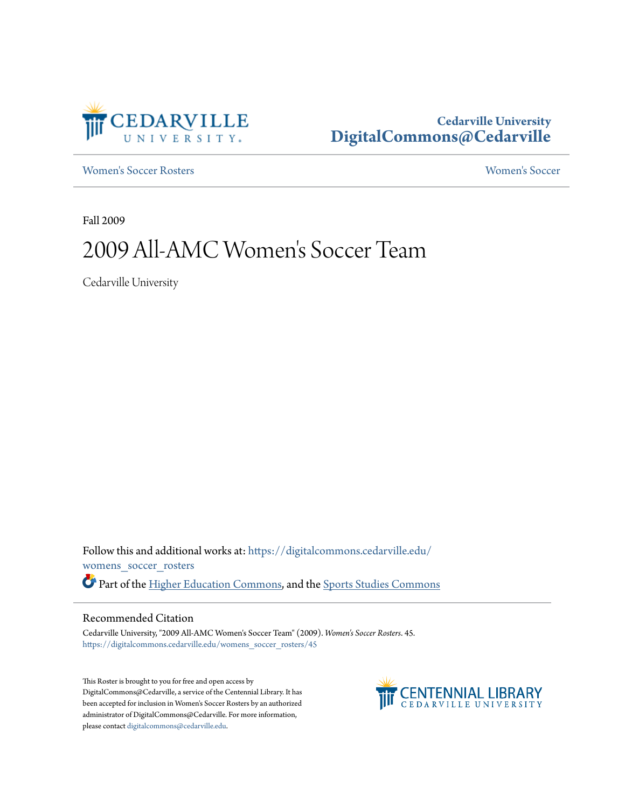

# **Cedarville University [DigitalCommons@Cedarville](https://digitalcommons.cedarville.edu?utm_source=digitalcommons.cedarville.edu%2Fwomens_soccer_rosters%2F45&utm_medium=PDF&utm_campaign=PDFCoverPages)**

[Women's Soccer Rosters](https://digitalcommons.cedarville.edu/womens_soccer_rosters?utm_source=digitalcommons.cedarville.edu%2Fwomens_soccer_rosters%2F45&utm_medium=PDF&utm_campaign=PDFCoverPages) [Women's Soccer](https://digitalcommons.cedarville.edu/womens_soccer?utm_source=digitalcommons.cedarville.edu%2Fwomens_soccer_rosters%2F45&utm_medium=PDF&utm_campaign=PDFCoverPages)

Fall 2009

# 2009 All-AMC Women 's Soccer Team

Cedarville University

Follow this and additional works at: [https://digitalcommons.cedarville.edu/](https://digitalcommons.cedarville.edu/womens_soccer_rosters?utm_source=digitalcommons.cedarville.edu%2Fwomens_soccer_rosters%2F45&utm_medium=PDF&utm_campaign=PDFCoverPages) [womens\\_soccer\\_rosters](https://digitalcommons.cedarville.edu/womens_soccer_rosters?utm_source=digitalcommons.cedarville.edu%2Fwomens_soccer_rosters%2F45&utm_medium=PDF&utm_campaign=PDFCoverPages) Part of the [Higher Education Commons](http://network.bepress.com/hgg/discipline/1245?utm_source=digitalcommons.cedarville.edu%2Fwomens_soccer_rosters%2F45&utm_medium=PDF&utm_campaign=PDFCoverPages), and the [Sports Studies Commons](http://network.bepress.com/hgg/discipline/1198?utm_source=digitalcommons.cedarville.edu%2Fwomens_soccer_rosters%2F45&utm_medium=PDF&utm_campaign=PDFCoverPages)

### Recommended Citation

Cedarville University, "2009 All-AMC Women's Soccer Team" (2009). *Women's Soccer Rosters*. 45. [https://digitalcommons.cedarville.edu/womens\\_soccer\\_rosters/45](https://digitalcommons.cedarville.edu/womens_soccer_rosters/45?utm_source=digitalcommons.cedarville.edu%2Fwomens_soccer_rosters%2F45&utm_medium=PDF&utm_campaign=PDFCoverPages)

This Roster is brought to you for free and open access by DigitalCommons@Cedarville, a service of the Centennial Library. It has been accepted for inclusion in Women's Soccer Rosters by an authorized administrator of DigitalCommons@Cedarville. For more information, please contact [digitalcommons@cedarville.edu.](mailto:digitalcommons@cedarville.edu)